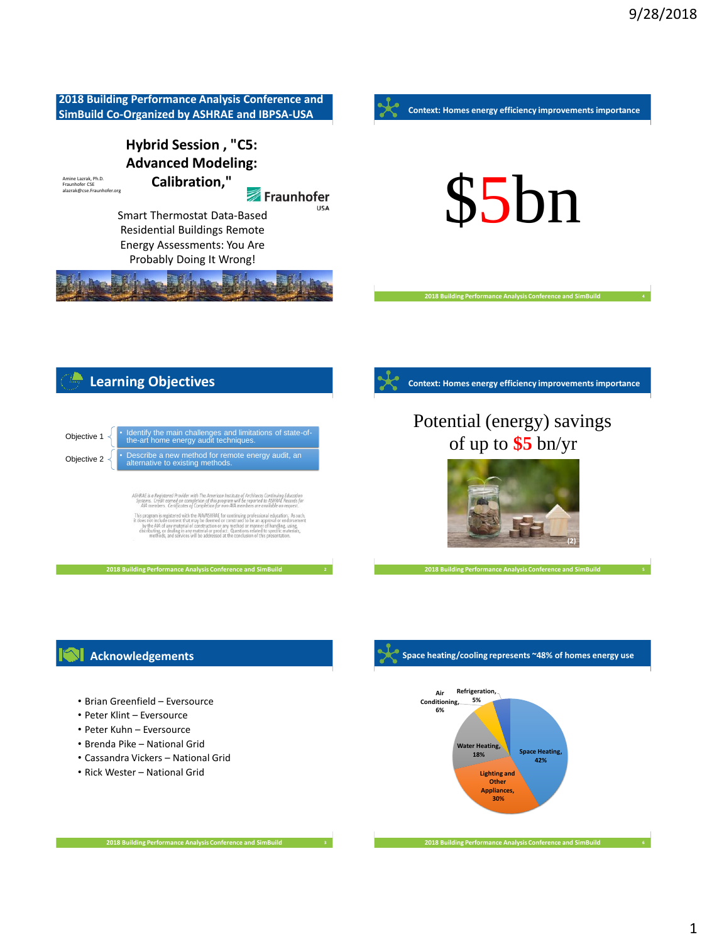

### **Acknowledgements**

- Brian Greenfield Eversource
- Peter Klint Eversource
- Peter Kuhn Eversource
- Brenda Pike National Grid
- Cassandra Vickers National Grid
- Rick Wester National Grid



**Space heating/cooling represents ~48% of homes energy use**

**2018 Building Performance Analysis Conference and SimBuild**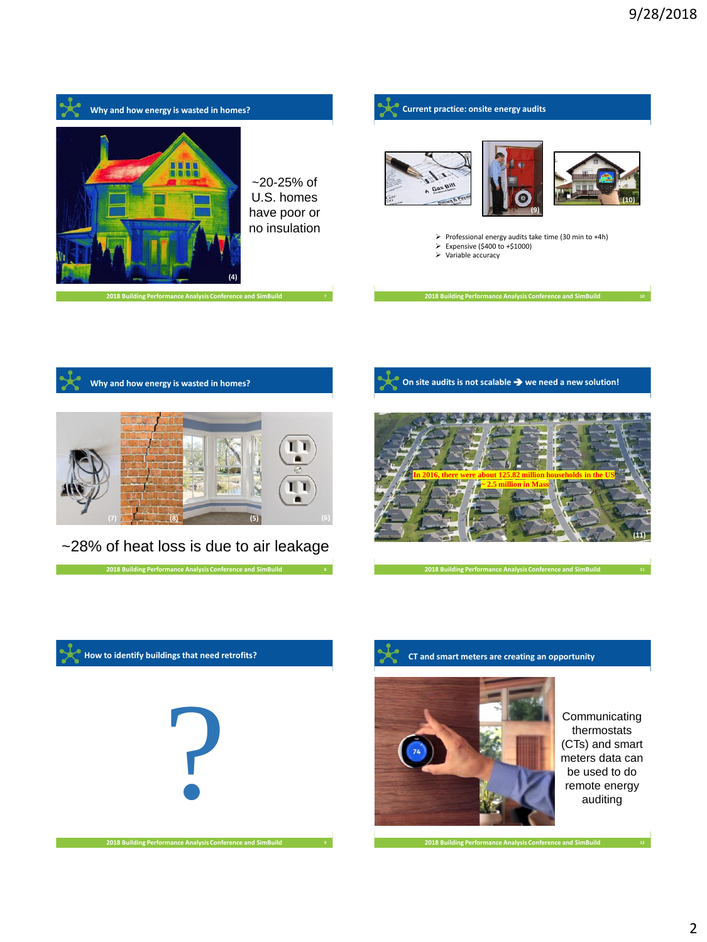



**CT and smart meters are creating an opportunity**



Communicating thermostats (CTs) and smart meters data can be used to do remote energy auditing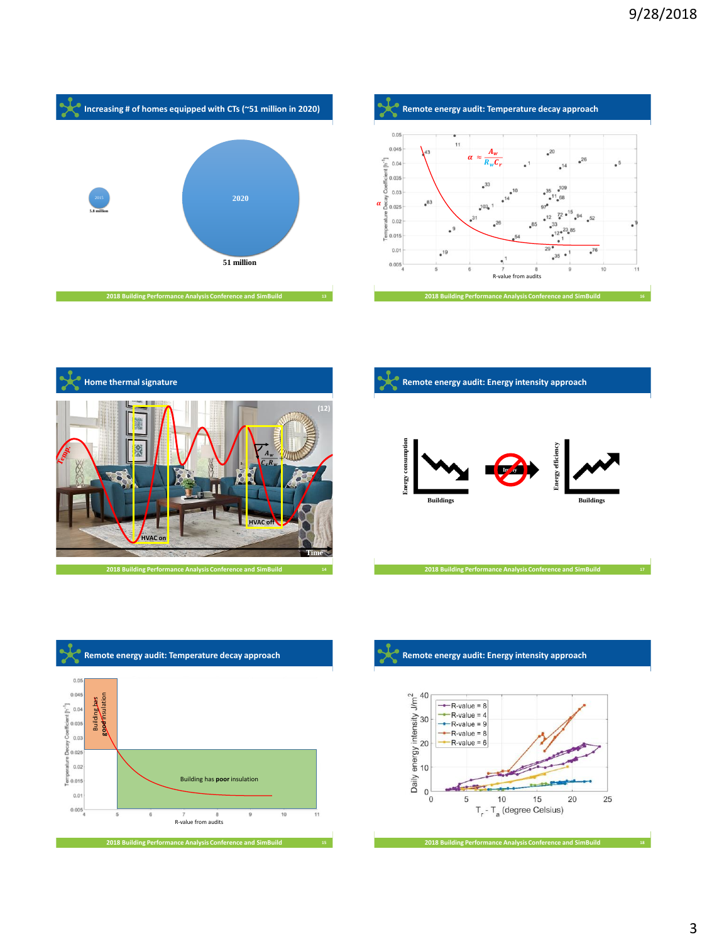









#### A **Remote energy audit: Energy intensity approach**

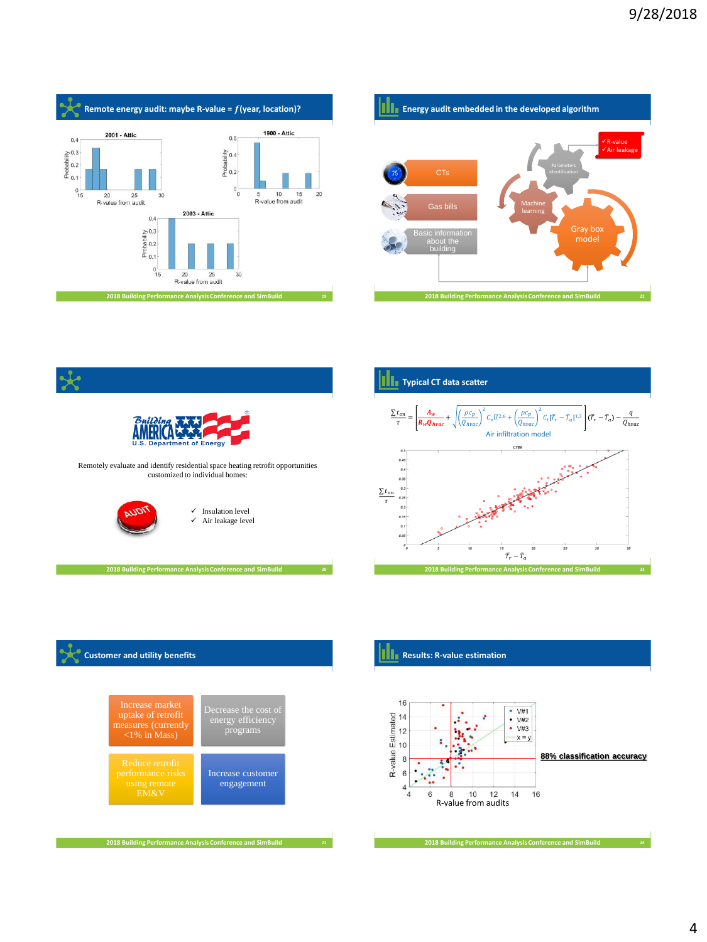









### **Results: R-value estimation**